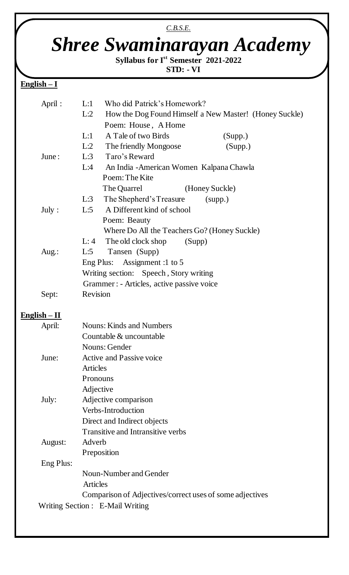# *Shree Swaminarayan Academy*

*C.B.S.E.*

**Syllabus for Ist Semester 2021-2022**

#### **STD: - VI**

## **English – I**

 $\overline{\phantom{a}}$ 

| April:         | Who did Patrick's Homework?<br>L:1                            |
|----------------|---------------------------------------------------------------|
|                | L:2<br>How the Dog Found Himself a New Master! (Honey Suckle) |
|                | Poem: House, A Home                                           |
|                | L:1<br>A Tale of two Birds<br>(Supp.)                         |
|                | L:2<br>The friendly Mongoose<br>(Supp.)                       |
| June:          | L:3<br>Taro's Reward                                          |
|                | L:4<br>An India - American Women Kalpana Chawla               |
|                | Poem: The Kite                                                |
|                | The Quarrel<br>(Honey Suckle)                                 |
|                | The Shepherd's Treasure<br>L:3<br>(supp.)                     |
| July :         | A Different kind of school<br>L:5                             |
|                | Poem: Beauty                                                  |
|                | Where Do All the Teachers Go? (Honey Suckle)                  |
|                | The old clock shop<br>(Supp)<br>L:4                           |
| Aug.:          | L:5<br>Tansen (Supp)                                          |
|                | Eng Plus: Assignment :1 to 5                                  |
|                | Writing section: Speech, Story writing                        |
|                | Grammer : - Articles, active passive voice                    |
| Sept:          | Revision                                                      |
| $English - II$ |                                                               |
| April:         | <b>Nouns: Kinds and Numbers</b>                               |
|                | Countable & uncountable                                       |
|                | Nouns: Gender                                                 |
| June:          | <b>Active and Passive voice</b>                               |
|                | <b>Articles</b>                                               |
|                | Pronouns                                                      |
|                | Adjective                                                     |
| July:          | Adjective comparison                                          |
|                | Verbs-Introduction                                            |
|                | Direct and Indirect objects                                   |
|                | <b>Transitive and Intransitive verbs</b>                      |
| August:        | Adverb                                                        |
|                | Preposition                                                   |
| Eng Plus:      |                                                               |
|                | Noun-Number and Gender                                        |
|                | <b>Articles</b>                                               |
|                | Comparison of Adjectives/correct uses of some adjectives      |
|                | Writing Section : E-Mail Writing                              |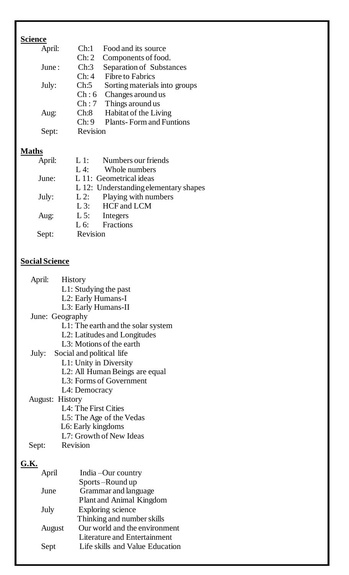# **Science**

| April: | Chi1                   | Food and its source             |
|--------|------------------------|---------------------------------|
|        | $\operatorname{Ch}: 2$ | Components of food.             |
| June:  | Ch:3                   | <b>Separation of Substances</b> |
|        | Chi4                   | <b>Fibre to Fabrics</b>         |
| July:  | Ch:5                   | Sorting materials into groups   |
|        | Ch:6                   | Changes around us               |
|        | Ch:7                   | Things around us                |
| Aug:   | Ch:8                   | Habitat of the Living           |
|        | Ch:9                   | <b>Plants-Form and Funtions</b> |
| Sept:  | Revision               |                                 |

## **Maths**

| April: | $L1$ :<br>Numbers our friends         |
|--------|---------------------------------------|
|        | Whole numbers<br>$L4$ :               |
| June:  | L 11: Geometrical ideas               |
|        | L 12: Understanding elementary shapes |
| July:  | Playing with numbers<br>$L2$ :        |
|        | L 3: HCF and LCM                      |
| Aug:   | $L$ 5:<br>Integers                    |
|        | Fractions<br>$L 6$ :                  |
| Sept:  | Revision                              |
|        |                                       |

#### **Social Science**

| April: | <b>History</b>                     |
|--------|------------------------------------|
|        | $L1$ : Studying the past           |
|        | L2: Early Humans-I                 |
|        | L3: Early Humans-II                |
|        | June: Geography                    |
|        | L1: The earth and the solar system |
|        | L2: Latitudes and Longitudes       |
|        | L3: Motions of the earth           |
|        | July: Social and political life    |
|        | L1: Unity in Diversity             |
|        | L2: All Human Beings are equal     |
|        | L3: Forms of Government            |
|        | L4: Democracy                      |
|        | <b>August: History</b>             |
|        | L4: The First Cities               |
|        | L5: The Age of the Vedas           |
|        | L6: Early kingdoms                 |
|        | L7: Growth of New Ideas            |
| Sept:  | Revision                           |
| G K    |                                    |

# **G.K.**

| April  | India – Our country                 |
|--------|-------------------------------------|
|        | Sports-Round up                     |
| June   | Grammar and language                |
|        | Plant and Animal Kingdom            |
| July   | Exploring science                   |
|        | Thinking and number skills          |
| August | Our world and the environment       |
|        | <b>Literature and Entertainment</b> |
| Sept   | Life skills and Value Education     |
|        |                                     |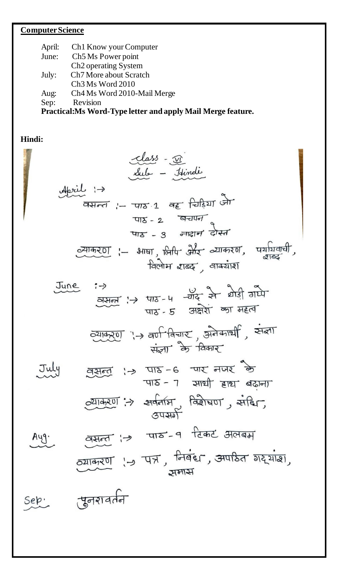# **Computer Science**

| April:<br>June:<br>July:<br>Aug:<br>Sep: | Ch <sub>1</sub> Know your Computer<br>Ch <sub>5</sub> M <sub>s</sub> Power point<br>Ch <sub>2</sub> operating System<br>Ch <sub>7</sub> More about Scratch<br>Ch <sub>3</sub> M <sub>s</sub> Word 2010<br>Ch <sub>4</sub> M <sub>s</sub> Word 2010-Mail Merge<br>Revision<br>Practical: Ms Word-Type letter and apply Mail Merge feature.              |
|------------------------------------------|--------------------------------------------------------------------------------------------------------------------------------------------------------------------------------------------------------------------------------------------------------------------------------------------------------------------------------------------------------|
| Hindi:                                   |                                                                                                                                                                                                                                                                                                                                                        |
|                                          | Class - <u>vi</u><br>Sub - Itindi<br>वसन्त :- पाठ 1 वह चिड़िया जो<br>पाठ- 2 बचापन<br>पाठ - 3 नादान दोस्त<br><u>व्याकरण</u> :- भाषा , लिपि और व्याकरण, पर्यायव<br>विलोम राब्द , वाक्याश                                                                                                                                                                 |
|                                          | June<br>$\frac{1}{2}$ $\frac{1}{2}$ $\frac{1}{2}$ $\frac{1}{2}$ $\frac{1}{2}$ $\frac{1}{2}$ $\frac{1}{2}$ $\frac{1}{2}$ $\frac{1}{2}$ $\frac{1}{2}$ $\frac{1}{2}$ $\frac{1}{2}$ $\frac{1}{2}$ $\frac{1}{2}$ $\frac{1}{2}$ $\frac{1}{2}$ $\frac{1}{2}$ $\frac{1}{2}$ $\frac{1}{2}$ $\frac{1}{2}$ $\frac{1}{2}$ $\frac{1}{2}$<br>पाठ- 5 अक्षेशे का महत्व |
|                                          | व्याकरण ''> वर्ण विचार', अनेकार्थी, संज्ञा<br>संज्ञा के विकार                                                                                                                                                                                                                                                                                          |
| July                                     | वसन्तु ।→ पाठ-६ मार नजर के<br>पाठ - 7 साथी हाथ बढ़ाना                                                                                                                                                                                                                                                                                                  |
|                                          | $\sim$ याकरण: > सर्वनाम, विशेषण, संदिन,<br>उपसर्ग                                                                                                                                                                                                                                                                                                      |
| Ayg.                                     | वसन्त ¦→ पाठ-१ दिकट अलबम<br>$\overline{c}$ याकरण (-) पत्र, निवंध, अपाठेत गर्याश,<br>ज्ञमास                                                                                                                                                                                                                                                             |
| Sep.                                     | सुनशवर्तन                                                                                                                                                                                                                                                                                                                                              |